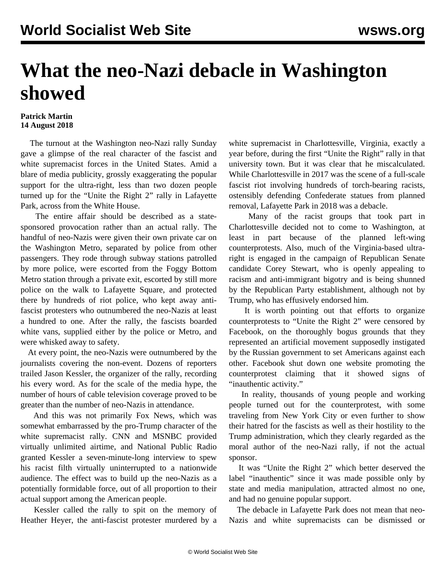## **What the neo-Nazi debacle in Washington showed**

## **Patrick Martin 14 August 2018**

 The turnout at the Washington neo-Nazi rally Sunday gave a glimpse of the real character of the fascist and white supremacist forces in the United States. Amid a blare of media publicity, grossly exaggerating the popular support for the ultra-right, less than two dozen people turned up for the "Unite the Right 2" rally in Lafayette Park, across from the White House.

 The entire affair should be described as a statesponsored provocation rather than an actual rally. The handful of neo-Nazis were given their own private car on the Washington Metro, separated by police from other passengers. They rode through subway stations patrolled by more police, were escorted from the Foggy Bottom Metro station through a private exit, escorted by still more police on the walk to Lafayette Square, and protected there by hundreds of riot police, who kept away antifascist protesters who outnumbered the neo-Nazis at least a hundred to one. After the rally, the fascists boarded white vans, supplied either by the police or Metro, and were whisked away to safety.

 At every point, the neo-Nazis were outnumbered by the journalists covering the non-event. Dozens of reporters trailed Jason Kessler, the organizer of the rally, recording his every word. As for the scale of the media hype, the number of hours of cable television coverage proved to be greater than the number of neo-Nazis in attendance.

 And this was not primarily Fox News, which was somewhat embarrassed by the pro-Trump character of the white supremacist rally. CNN and MSNBC provided virtually unlimited airtime, and National Public Radio granted Kessler a seven-minute-long interview to spew his racist filth virtually uninterrupted to a nationwide audience. The effect was to build up the neo-Nazis as a potentially formidable force, out of all proportion to their actual support among the American people.

 Kessler called the rally to spit on the memory of Heather Heyer, the anti-fascist protester murdered by a

white supremacist in Charlottesville, Virginia, exactly a year before, during the first "Unite the Right" rally in that university town. But it was clear that he miscalculated. While Charlottesville in 2017 was the scene of a full-scale fascist riot involving hundreds of torch-bearing racists, ostensibly defending Confederate statues from planned removal, Lafayette Park in 2018 was a debacle.

 Many of the racist groups that took part in Charlottesville decided not to come to Washington, at least in part because of the planned left-wing counterprotests. Also, much of the Virginia-based ultraright is engaged in the campaign of Republican Senate candidate Corey Stewart, who is openly appealing to racism and anti-immigrant bigotry and is being shunned by the Republican Party establishment, although not by Trump, who has effusively endorsed him.

 It is worth pointing out that efforts to organize counterprotests to "Unite the Right 2" were censored by Facebook, on the thoroughly bogus grounds that they represented an artificial movement supposedly instigated by the Russian government to set Americans against each other. Facebook shut down one website promoting the counterprotest claiming that it showed signs of "inauthentic activity."

 In reality, thousands of young people and working people turned out for the counterprotest, with some traveling from New York City or even further to show their hatred for the fascists as well as their hostility to the Trump administration, which they clearly regarded as the moral author of the neo-Nazi rally, if not the actual sponsor.

 It was "Unite the Right 2" which better deserved the label "inauthentic" since it was made possible only by state and media manipulation, attracted almost no one, and had no genuine popular support.

 The debacle in Lafayette Park does not mean that neo-Nazis and white supremacists can be dismissed or